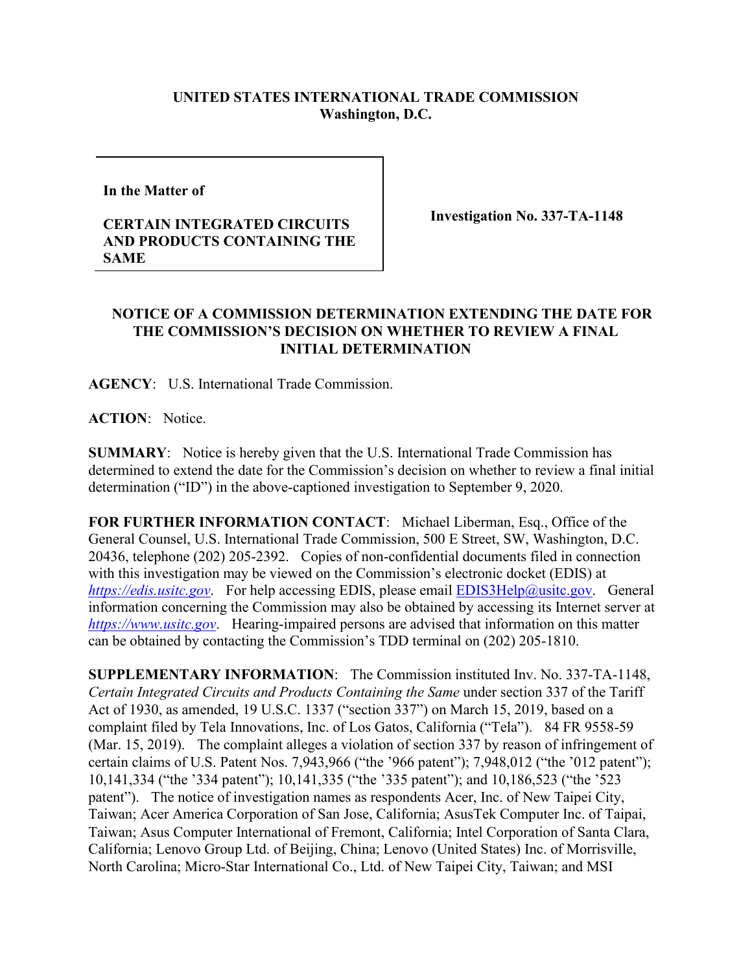## **UNITED STATES INTERNATIONAL TRADE COMMISSION Washington, D.C.**

**In the Matter of** 

## **CERTAIN INTEGRATED CIRCUITS AND PRODUCTS CONTAINING THE SAME**

**Investigation No. 337-TA-1148**

## **NOTICE OF A COMMISSION DETERMINATION EXTENDING THE DATE FOR THE COMMISSION'S DECISION ON WHETHER TO REVIEW A FINAL INITIAL DETERMINATION**

**AGENCY**: U.S. International Trade Commission.

**ACTION**: Notice.

**SUMMARY**: Notice is hereby given that the U.S. International Trade Commission has determined to extend the date for the Commission's decision on whether to review a final initial determination ("ID") in the above-captioned investigation to September 9, 2020.

**FOR FURTHER INFORMATION CONTACT**: Michael Liberman, Esq., Office of the General Counsel, U.S. International Trade Commission, 500 E Street, SW, Washington, D.C. 20436, telephone (202) 205-2392. Copies of non-confidential documents filed in connection with this investigation may be viewed on the Commission's electronic docket (EDIS) at *[https://edis.usitc.gov](https://edis.usitc.gov/).* For help accessing EDIS, please email [EDIS3Help@usitc.gov.](mailto:EDIS3Help@usitc.gov) General information concerning the Commission may also be obtained by accessing its Internet server at *[https://www.usitc.gov](https://www.usitc.gov/)*. Hearing-impaired persons are advised that information on this matter can be obtained by contacting the Commission's TDD terminal on (202) 205-1810.

**SUPPLEMENTARY INFORMATION**: The Commission instituted Inv. No. 337-TA-1148, *Certain Integrated Circuits and Products Containing the Same* under section 337 of the Tariff Act of 1930, as amended, 19 U.S.C. 1337 ("section 337") on March 15, 2019, based on a complaint filed by Tela Innovations, Inc. of Los Gatos, California ("Tela"). 84 FR 9558-59 (Mar. 15, 2019). The complaint alleges a violation of section 337 by reason of infringement of certain claims of U.S. Patent Nos. 7,943,966 ("the '966 patent"); 7,948,012 ("the '012 patent"); 10,141,334 ("the '334 patent"); 10,141,335 ("the '335 patent"); and 10,186,523 ("the '523 patent"). The notice of investigation names as respondents Acer, Inc. of New Taipei City, Taiwan; Acer America Corporation of San Jose, California; AsusTek Computer Inc. of Taipai, Taiwan; Asus Computer International of Fremont, California; Intel Corporation of Santa Clara, California; Lenovo Group Ltd. of Beijing, China; Lenovo (United States) Inc. of Morrisville, North Carolina; Micro-Star International Co., Ltd. of New Taipei City, Taiwan; and MSI